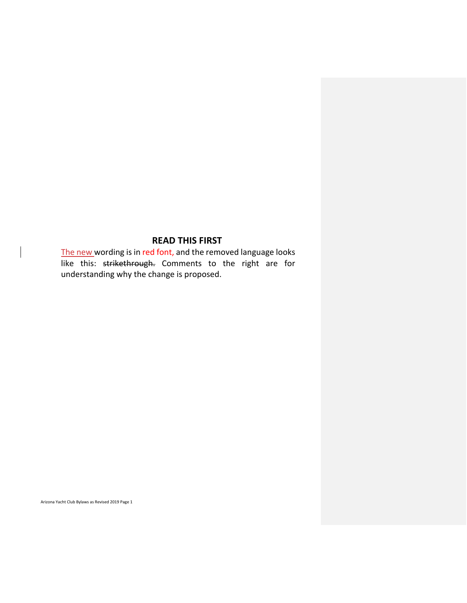# **READ THIS FIRST**

The new wording is in red font, and the removed language looks like this: strikethrough. Comments to the right are for understanding why the change is proposed.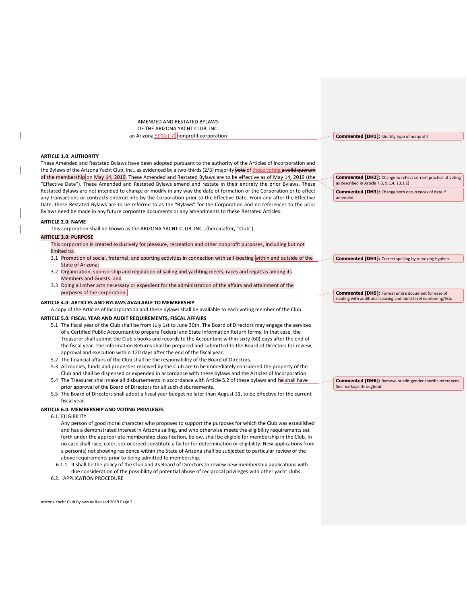AMENDED AND RESTATED BYLAWS OF THE ARIZONA YACHT CLUB, INC. an Arizona 501(c)(7) nonprofit corporation

#### **ARTICLE 1.0: AUTHORITY**

These Amended and Restated Bylaws have been adopted pursuant to the authority of the Articles of Incorporation and the Bylaws of the Arizona Yacht Club, Inc., as evidenced by a two-thirds (2/3) majority vote of those voting a valid quorum membership on May 14, 2019. These Amended and Restated Bylaws are to be effective as of May 14, 2019 (the "Effective Date"). These Amended and Restated Bylaws amend and restate in their entirety the prior Bylaws. These Restated Bylaws are not intended to change or modify in any way the date of formation of the Corporation or to affect any transactions or contracts entered into by the Corporation prior to the Effective Date. From and after the Effective Date, these Restated Bylaws are to be referred to as the "Bylaws" for the Corporation and no references to the prior Bylaws need be made in any future corporate documents or any amendments to these Restated Articles.

#### **ARTICLE 2.0: NAME**

This corporation shall be known as the ARIZONA YACHT CLUB, INC., (hereinafter, "Club").

#### **ARTICLE 3.0: PURPOSE**

- This corporation is created exclusively for pleasure, recreation and other nonprofit purposes, including but not limited to:
- 3.1 Promotion of social, fraternal, and sporting activities in connection with sail-boating within and outside of the State of Arizona;
- 3.2 Organization, sponsorship and regulation of sailing and yachting meets, races and regattas among its Members and Guests: and
- 3.3 Doing all other acts necessary or expedient for the administration of the affairs and attainment of the purposes of the corporation.

#### **ARTICLE 4.0: ARTICLES AND BYLAWS AVAILABLE TO MEMBERSHIP**

A copy of the Articles of Incorporation and these bylaws shall be available to each voting member of the Club.

#### **ARTICLE 5.0: FISCAL YEAR AND AUDIT REQUIREMENTS, FISCAL AFFAIRS**

- 5.1 The fiscal year of the Club shall be from July 1st to June 30th. The Board of Directors may engage the services of a Certified Public Accountant to prepare Federal and State Information Return forms. In that case, the Treasurer shall submit the Club's books and records to the Accountant within sixty (60) days after the end of the fiscal year. The Information Returns shall be prepared and submitted to the Board of Directors for review, approval and execution within 120 days after the end of the fiscal year.
- 5.2 The financial affairs of the Club shall be the responsibility of the Board of Directors.
- 5.3 All monies, funds and properties received by the Club are to be immediately considered the property of the Club and shall be dispensed or expended in accordance with these bylaws and the Articles of Incorporation.
- 5.4 The Treasurer shall make all disbursements in accordance with Article 5.2 of these bylaws and he shall have prior approval of the Board of Directors for all such disbursements.
- 5.5 The Board of Directors shall adopt a fiscal year budget no later than August 31, to be effective for the current fiscal year.

## **ARTICLE 6.0: MEMBERSHIP AND VOTING PRIVILEGES**

6.1. ELIGIBILITY

Any person of good moral character who proposes to support the purposes for which the Club was established and has a demonstrated interest in Arizona sailing, and who otherwise meets the eligibility requirements set forth under the appropriate membership classification, below, shall be eligible for membership in the Club. In no case shall race, color, sex or creed constitute a factor for determination or eligibility. New applications from a person(s) not showing residence within the State of Arizona shall be subjected to particular review of the above requirements prior to being admitted to membership.

- 6.1.1. It shall be the policy of the Club and its Board of Directors to review new membership applications with due consideration of the possibility of potential abuse of reciprocal privileges with other yacht clubs.
- 6.2. APPLICATION PROCEDURE

Arizona Yacht Club Bylaws as Revised 2019 Page 2

**Commented [DH1]:** Identify type of nonprofit

**Commented [DH2]:** Change to reflect current practice of voting as described in Article 7.3, 9.1.4, 13.1.2) **Commented [DH3]:** Change both occurrences of date if

amended.

**Commented [DH4]:** Correct spelling by removing hyphen

**Commented [DH5]:** Format entire document for ease of reading with additional spacing and multi-level numbering/lists

**Commented [DH6]:** Remove or edit gender specific references. See markups throughout.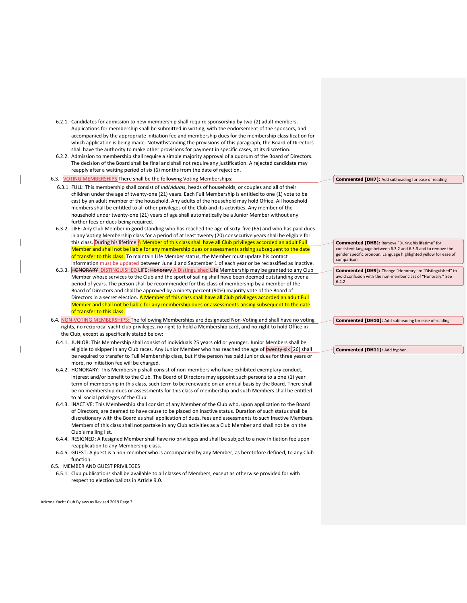- 6.2.1. Candidates for admission to new membership shall require sponsorship by two (2) adult members. Applications for membership shall be submitted in writing, with the endorsement of the sponsors, and accompanied by the appropriate initiation fee and membership dues for the membership classification for which application is being made. Notwithstanding the provisions of this paragraph, the Board of Directors shall have the authority to make other provisions for payment in specific cases, at its discretion.
- 6.2.2. Admission to membership shall require a simple majority approval of a quorum of the Board of Directors. The decision of the Board shall be final and shall not require any justification. A rejected candidate may reapply after a waiting period of six (6) months from the date of rejection.
- 6.3. VOTING MEMBERSHIPS There shall be the following Voting Memberships:
	- 6.3.1. FULL: This membership shall consist of *individuals*, heads of households, or couples and all of their children under the age of twenty-one (21) years. Each Full Membership is entitled to one (1) vote to be cast by an adult member of the household. Any adults of the household may hold Office. All household members shall be entitled to all other privileges of the Club and its activities. Any member of the household under twenty-one (21) years of age shall automatically be a Junior Member without any further fees or dues being required.
	- 6.3.2. LIFE: Any Club Member in good standing who has reached the age of sixty-five (65) and who has paid dues in any Voting Membership class for a period of at least twenty (20) consecutive years shall be eligible for this class. During his lifetime A Member of this class shall have all Club privileges accorded an adult Full Member and shall not be liable for any membership dues or assessments arising subsequent to the date of transfer to this class. To maintain Life Member status, the Member must update his contact information must be updated between June 1 and September 1 of each year or be reclassified as Inactive.
	- 6.3.3. HONORARY DISTINGUISHED LIFE: Honorary A Distinguished Life Membership may be granted to any Club Member whose services to the Club and the sport of sailing shall have been deemed outstanding over a period of years. The person shall be recommended for this class of membership by a member of the Board of Directors and shall be approved by a ninety percent (90%) majority vote of the Board of Directors in a secret election. A Member of this class shall have all Club privileges accorded an adult Full Member and shall not be liable for any membership dues or assessments arising subsequent to the date of transfer to this class.
- 6.4. NON-VOTING MEMBERSHIPS: The following Memberships are designated Non-Voting and shall have no voting rights, no reciprocal yacht club privileges, no right to hold a Membership card, and no right to hold Office in the Club, except as specifically stated below:
	- 6.4.1. JUNIOR: This Membership shall consist of individuals 25 years old or younger. Junior Members shall be eligible to skipper in any Club races. Any Junior Member who has reached the age of twenty-six (26) shall be required to transfer to Full Membership class, but if the person has paid Junior dues for three years or more, no initiation fee will be charged.
	- 6.4.2. HONORARY: This Membership shall consist of non-members who have exhibited exemplary conduct, interest and/or benefit to the Club. The Board of Directors may appoint such persons to a one (1) year term of membership in this class, such term to be renewable on an annual basis by the Board. There shall be no membership dues or assessments for this class of membership and such Members shall be entitled to all social privileges of the Club.
	- 6.4.3. INACTIVE: This Membership shall consist of any Member of the Club who, upon application to the Board of Directors, are deemed to have cause to be placed on Inactive status. Duration of such status shall be discretionary with the Board as shall application of dues, fees and assessments to such Inactive Members. Members of this class shall not partake in any Club activities as a Club Member and shall not be on the Club's mailing list.
	- 6.4.4. RESIGNED: A Resigned Member shall have no privileges and shall be subject to a new initiation fee upon reapplication to any Membership class.
	- 6.4.5. GUEST: A guest is a non-member who is accompanied by any Member, as heretofore defined, to any Club function.
- 6.5. MEMBER AND GUEST PRIVILEGES
- 6.5.1. Club publications shall be available to all classes of Members, except as otherwise provided for with respect to election ballots in Article 9.0.

**Commented [DH7]:** Add subheading for ease of reading

**Commented [DH8]:** Remove "During his lifetime" for consistent language between 6.3.2 and 6.3.3 and to remove the gender specific pronoun. Language highlighted yellow for ease of comparison.

**Commented [DH9]:** Change "Honorary" to "Distinguished" to avoid confusion with the non-member class of "Honorary." See 6.4.2

**Commented [DH10]:** Add subheading for ease of reading

**Commented [DH11]:** Add hyphen.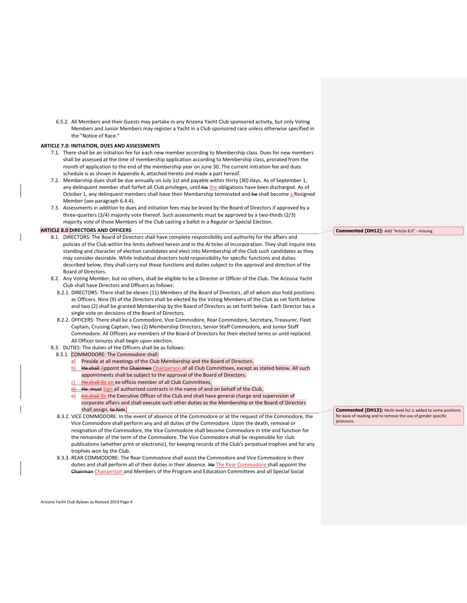6.5.2. All Members and their Guests may partake in any Arizona Yacht Club sponsored activity, but only Voting Members and Junior Members may register a Yacht in a Club sponsored race unless otherwise specified in the "Notice of Race."

# **ARTICLE 7.0: INITIATION, DUES AND ASSESSMENTS**

- 7.1. There shall be an initiation fee for each new member according to Membership class. Dues for new members shall be assessed at the time of membership application according to Membership class, prorated from the month of application to the end of the membership year on June 30. The current initiation fee and dues schedule is as shown in Appendix A, attached hereto and made a part hereof.
- 7.2. Membership dues shall be due annually on July 1st and payable within thirty (30) days. As of September 1, any delinquent member shall forfeit all Club privileges, until his the obligations have been discharged. As of October 1, any delinquent members shall have their Membership terminated and he shall become a Resigned Member (see paragraph 6.4.4).
- 7.3. Assessments in addition to dues and initiation fees may be levied by the Board of Directors if approved by a three-quarters (3/4) majority vote thereof. Such assessments must be approved by a two-thirds (2/3) majority vote of those Members of the Club casting a ballot in a Regular or Special Election.

#### **ARTICLE 8.0 DIRECTORS AND OFFICERS**

- 8.1. DIRECTORS: The Board of Directors shall have complete responsibility and authority for the affairs and policies of the Club within the limits defined herein and in the Articles of Incorporation. They shall inquire into standing and character of election candidates and elect into Membership of the Club such candidates as they may consider desirable. While individual directors hold responsibility for specific functions and duties described below, they shall carry out those functions and duties subject to the approval and direction of the Board of Directors.
- 8.2. Any Voting Member, but no others, shall be eligible to be a Director or Officer of the Club. The Arizona Yacht Club shall have Directors and Officers as follows:
	- 8.2.1. DIRECTORS: There shall be eleven (11) Members of the Board of Directors, all of whom also hold positions as Officers. Nine (9) of the Directors shall be elected by the Voting Members of the Club as set forth below and two (2) shall be granted Membership by the Board of Directors as set forth below. Each Director has a single vote on decisions of the Board of Directors.
	- 8.2.2. OFFICERS: There shall be a Commodore, Vice Commodore, Rear Commodore, Secretary, Treasurer, Fleet Captain, Cruising Captain, two (2) Membership Directors, Senior Staff Commodore, and Junior Staff Commodore. All Officers are members of the Board of Directors for their elected terms or until replaced. All Officer tenures shall begin upon election.
- 8.3. DUTIES: The duties of the Officers shall be as follows:
- 8.3.1. COMMODORE: The Commodore shall:
	- Preside at all meetings of the Club Membership and the Board of Directors.
	- b) He shall Appoint the Chairmen Chairperson of all Club Committees, except as stated below. All such appointments shall be subject to the approval of the Board of Directors.
	- He shall-Be an ex-officio member of all Club Committees.
	- $\frac{d}{dt}$  He must Sign all authorized contracts in the name of and on behalf of the Club.
	- He shall Be the Executive Officer of the Club and shall have general charge and supervision of corporate affairs and shall execute such other duties as the Membership or the Board of Directors shall assign. to him.
- 8.3.2. VICE COMMODORE: In the event of absence of the Commodore or at the request of the Commodore, the Vice Commodore shall perform any and all duties of the Commodore. Upon the death, removal or resignation of the Commodore, the Vice Commodore shall become Commodore in title and function for the remainder of the term of the Commodore. The Vice Commodore shall be responsible for club publications (whether print or electronic), for keeping records of the Club's perpetual trophies and for any trophies won by the Club.
- 8.3.3. REAR COMMODORE: The Rear Commodore shall assist the Commodore and Vice Commodore in their duties and shall perform all of their duties in their absence. He The Rear Commodore shall appoint the Chairman Chairperson and Members of the Program and Education Committees and all Special Social

**Commented [DH12]:** Add "Article 8.0" - missing

**Commented [DH13]:** Multi-level list is added to some positions for ease of reading and to remove the use of gender specific pronouns.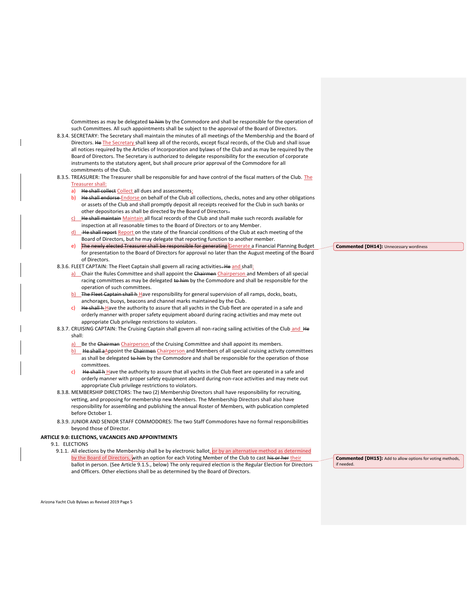Committees as may be delegated to him by the Commodore and shall be responsible for the operation of such Committees. All such appointments shall be subject to the approval of the Board of Directors.

- 8.3.4. SECRETARY: The Secretary shall maintain the minutes of all meetings of the Membership and the Board of Directors. He The Secretary shall keep all of the records, except fiscal records, of the Club and shall issue all notices required by the Articles of Incorporation and bylaws of the Club and as may be required by the Board of Directors. The Secretary is authorized to delegate responsibility for the execution of corporate instruments to the statutory agent, but shall procure prior approval of the Commodore for all commitments of the Club.
- 8.3.5. TREASURER: The Treasurer shall be responsible for and have control of the fiscal matters of the Club. The Treasurer shall:
	- a) He shall collect Collect all dues and assessments;
	- b) He shall endorse Endorse on behalf of the Club all collections, checks, notes and any other obligations or assets of the Club and shall promptly deposit all receipts received for the Club in such banks or other depositories as shall be directed by the Board of Directors.
	- He shall maintain Maintain all fiscal records of the Club and shall make such records available for inspection at all reasonable times to the Board of Directors or to any Member.
	- He shall report Report on the state of the financial conditions of the Club at each meeting of the Board of Directors, but he may delegate that reporting function to another member.
	- e) The newly elected Treasurer shall be responsible for generating Generate a Financial Planning Budget for presentation to the Board of Directors for approval no later than the August meeting of the Board of Directors.
- 8.3.6. FLEET CAPTAIN: The Fleet Captain shall govern all racing activities. He and shall:
	- a) Chair the Rules Committee and shall appoint the Chairmen Chairperson and Members of all special racing committees as may be delegated to him by the Commodore and shall be responsible for the operation of such committees.
	- b) The Fleet Captain shall h Have responsibility for general supervision of all ramps, docks, boats, anchorages, buoys, beacons and channel marks maintained by the Club.
	- $\overline{c}$ ) He shall h Have the authority to assure that all yachts in the Club fleet are operated in a safe and orderly manner with proper safety equipment aboard during racing activities and may mete out appropriate Club privilege restrictions to violators.
- 8.3.7. CRUISING CAPTAIN: The Cruising Captain shall govern all non-racing sailing activities of the Club and He shall:
	- a) Be the Chairman Chairperson of the Cruising Committee and shall appoint its members.
	- b) He shall a Appoint the Chairmen Chairperson and Members of all special cruising activity committees as shall be delegated to him by the Commodore and shall be responsible for the operation of those committees.
	- $c)$  He shall h Have the authority to assure that all yachts in the Club fleet are operated in a safe and orderly manner with proper safety equipment aboard during non-race activities and may mete out appropriate Club privilege restrictions to violators.
- 8.3.8. MEMBERSHIP DIRECTORS: The two (2) Membership Directors shall have responsibility for recruiting, vetting, and proposing for membership new Members. The Membership Directors shall also have responsibility for assembling and publishing the annual Roster of Members, with publication completed before October 1.
- 8.3.9. JUNIOR AND SENIOR STAFF COMMODORES: The two Staff Commodores have no formal responsibilities beyond those of Director.

#### **ARTICLE 9.0: ELECTIONS, VACANCIES AND APPOINTMENTS**

9.1. ELECTIONS

9.1.1. All elections by the Membership shall be by electronic ballot, or by an alternative method as determined by the Board of Directors, with an option for each Voting Member of the Club to cast his or her their ballot in person. (See Article 9.1.5., below) The only required election is the Regular Election for Directors and Officers. Other elections shall be as determined by the Board of Directors.

**Commented [DH15]:** Add to allow options for voting methods, if needed.

**Commented [DH14]:** Unnecessary wordiness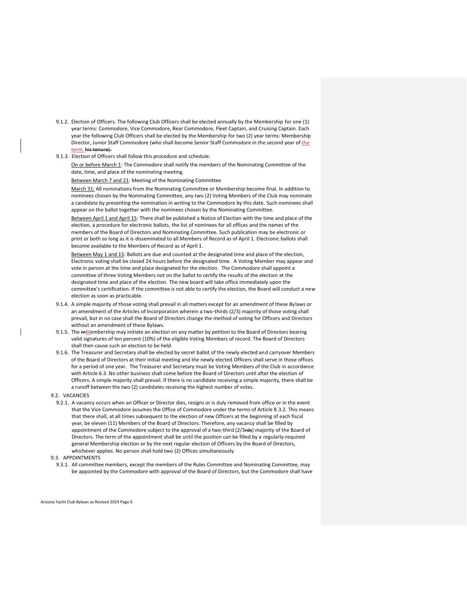- 9.1.2. Election of Officers. The following Club Officers shall be elected annually by the Membership for one (1) year terms: Commodore, Vice Commodore, Rear Commodore, Fleet Captain, and Cruising Captain. Each year the following Club Officers shall be elected by the Membership for two (2) year terms: Membership Director, Junior Staff Commodore (who shall become Senior Staff Commodore in the second year of the term. his tenure).
- 9.1.3. Election of Officers shall follow this procedure and schedule:

On or before March 1: The Commodore shall notify the members of the Nominating Committee of the date, time, and place of the nominating meeting.

Between March 7 and 21: Meeting of the Nominating Committee

March 31: All nominations from the Nominating Committee or Membership become final. In addition to nominees chosen by the Nominating Committee, any two (2) Voting Members of the Club may nominate a candidate by presenting the nomination in writing to the Commodore by this date. Such nominees shall appear on the ballot together with the nominees chosen by the Nominating Committee.

Between April 1 and April 15: There shall be published a Notice of Election with the time and place of the election, a procedure for electronic ballots, the list of nominees for all offices and the names of the members of the Board of Directors and Nominating Committee. Such publication may be electronic or print or both so long as it is disseminated to all Members of Record as of April 1. Electronic ballots shall become available to the Members of Record as of April 1.

Between May 1 and 15: Ballots are due and counted at the designated time and place of the election, Electronic voting shall be closed 24 hours before the designated time. A Voting Member may appear and vote in person at the time and place designated for the election. The Commodore shall appoint a committee of three Voting Members not on the ballot to certify the results of the election at the designated time and place of the election. The new board will take office immediately upon the committee's certification. If the committee is not able to certify the election, the Board will conduct a new election as soon as practicable.

- 9.1.4. A simple majority of those voting shall prevail in all matters except for an amendment of these Bylaws or an amendment of the Articles of Incorporation wherein a two-thirds (2/3) majority of those voting shall prevail, but in no case shall the Board of Directors change the method of voting for Officers and Directors without an amendment of these Bylaws.
- 9.1.5. The mMembership may initiate an election on any matter by petition to the Board of Directors bearing valid signatures of ten percent (10%) of the eligible Voting Members of record. The Board of Directors shall then cause such an election to be held.
- 9.1.6. The Treasurer and Secretary shall be elected by secret ballot of the newly elected and carryover Members of the Board of Directors at their initial meeting and the newly elected Officers shall serve in those offices for a period of one year. The Treasurer and Secretary must be Voting Members of the Club in accordance with Article 6.3. No other business shall come before the Board of Directors until after the election of Officers. A simple majority shall prevail. If there is no candidate receiving a simple majority, there shall be a runoff between the two (2) candidates receiving the highest number of votes.
- 9.2. VACANCIES
- 9.2.1. A vacancy occurs when an Officer or Director dies, resigns or is duly removed from office or in the event that the Vice Commodore assumes the Office of Commodore under the terms of Article 8.3.2. This means that there shall, at all times subsequent to the election of new Officers at the beginning of each fiscal year, be eleven (11) Members of the Board of Directors. Therefore, any vacancy shall be filled by appointment of the Commodore subject to the approval of a two-third (2/3rds) majority of the Board of Directors. The term of the appointment shall be until the position can be filled by a regularly-required general Membership election or by the next regular election of Officers by the Board of Directors, whichever applies. No person shall hold two (2) Offices simultaneously.
- 9.3. APPOINTMENTS
- 9.3.1. All committee members, except the members of the Rules Committee and Nominating Committee, may be appointed by the Commodore with approval of the Board of Directors, but the Commodore shall have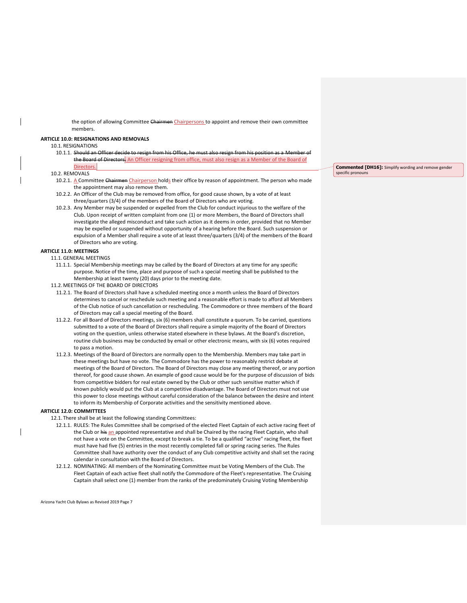the option of allowing Committee Chairmen Chairpersons to appoint and remove their own committee members.

# **ARTICLE 10.0: RESIGNATIONS AND REMOVALS**

# 10.1. RESIGNATIONS

10.1.1. Should an Officer decide to resign from his Office, he must also resign from his position as a Member the Board of Directors. An Officer resigning from office, must also resign as a Member of the Board of Directors.

# 10.2. REMOVALS

- 10.2.1. A Committee Chairmen Chairperson holds their office by reason of appointment. The person who made the appointment may also remove them.
- 10.2.2. An Officer of the Club may be removed from office, for good cause shown, by a vote of at least three/quarters (3/4) of the members of the Board of Directors who are voting.
- 10.2.3. Any Member may be suspended or expelled from the Club for conduct injurious to the welfare of the Club. Upon receipt of written complaint from one (1) or more Members, the Board of Directors shall investigate the alleged misconduct and take such action as it deems in order, provided that no Member may be expelled or suspended without opportunity of a hearing before the Board. Such suspension or expulsion of a Member shall require a vote of at least three/quarters (3/4) of the members of the Board of Directors who are voting.

# **ARTICLE 11.0: MEETINGS**

# 11.1.GENERAL MEETINGS

- 11.1.1. Special Membership meetings may be called by the Board of Directors at any time for any specific purpose. Notice of the time, place and purpose of such a special meeting shall be published to the Membership at least twenty (20) days prior to the meeting date.
- 11.2.MEETINGS OF THE BOARD OF DIRECTORS
	- 11.2.1. The Board of Directors shall have a scheduled meeting once a month unless the Board of Directors determines to cancel or reschedule such meeting and a reasonable effort is made to afford all Members of the Club notice of such cancellation or rescheduling. The Commodore or three members of the Board of Directors may call a special meeting of the Board.
	- 11.2.2. For all Board of Directors meetings, six (6) members shall constitute a quorum. To be carried, questions submitted to a vote of the Board of Directors shall require a simple majority of the Board of Directors voting on the question, unless otherwise stated elsewhere in these bylaws. At the Board's discretion, routine club business may be conducted by email or other electronic means, with six (6) votes required to pass a motion.
	- 11.2.3. Meetings of the Board of Directors are normally open to the Membership. Members may take part in these meetings but have no vote. The Commodore has the power to reasonably restrict debate at meetings of the Board of Directors. The Board of Directors may close any meeting thereof, or any portion thereof, for good cause shown. An example of good cause would be for the purpose of discussion of bids from competitive bidders for real estate owned by the Club or other such sensitive matter which if known publicly would put the Club at a competitive disadvantage. The Board of Directors must not use this power to close meetings without careful consideration of the balance between the desire and intent to inform its Membership of Corporate activities and the sensitivity mentioned above.

# **ARTICLE 12.0: COMMITTEES**

- 12.1. There shall be at least the following standing Committees:
	- 12.1.1. RULES: The Rules Committee shall be comprised of the elected Fleet Captain of each active racing fleet of the Club or his an appointed representative and shall be Chaired by the racing Fleet Captain, who shall not have a vote on the Committee, except to break a tie. To be a qualified "active" racing fleet, the fleet must have had five (5) entries in the most recently completed fall or spring racing series. The Rules Committee shall have authority over the conduct of any Club competitive activity and shall set the racing calendar in consultation with the Board of Directors.
	- 12.1.2. NOMINATING: All members of the Nominating Committee must be Voting Members of the Club. The Fleet Captain of each active fleet shall notify the Commodore of the Fleet's representative. The Cruising Captain shall select one (1) member from the ranks of the predominately Cruising Voting Membership

Arizona Yacht Club Bylaws as Revised 2019 Page 7

**Commented [DH16]:** Simplify wording and remove gender specific pronouns